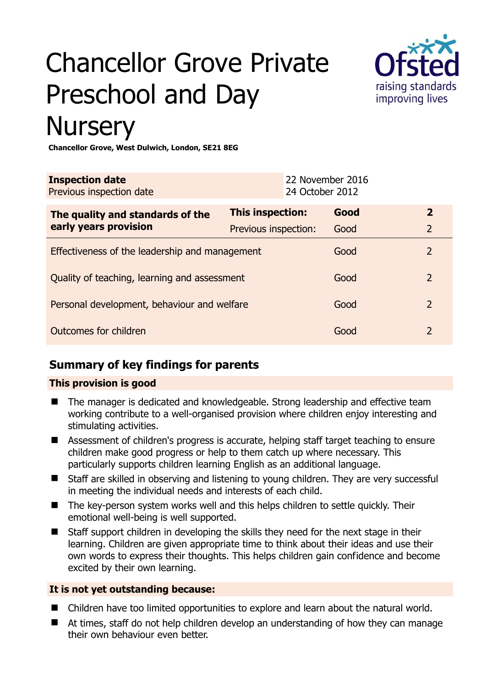# Chancellor Grove Private Preschool and Day **Nursery**



#### **Chancellor Grove, West Dulwich, London, SE21 8EG**

| <b>Inspection date</b><br>Previous inspection date |                      | 22 November 2016<br>24 October 2012 |      |                |
|----------------------------------------------------|----------------------|-------------------------------------|------|----------------|
| The quality and standards of the                   | This inspection:     |                                     | Good | $\mathbf{2}$   |
| early years provision                              | Previous inspection: |                                     | Good | $\overline{2}$ |
| Effectiveness of the leadership and management     |                      |                                     | Good | $\overline{2}$ |
| Quality of teaching, learning and assessment       |                      |                                     | Good | 2              |
| Personal development, behaviour and welfare        |                      |                                     | Good | 2              |
| Outcomes for children                              |                      |                                     | Good | $\mathcal{P}$  |

# **Summary of key findings for parents**

# **This provision is good**

- The manager is dedicated and knowledgeable. Strong leadership and effective team working contribute to a well-organised provision where children enjoy interesting and stimulating activities.
- Assessment of children's progress is accurate, helping staff target teaching to ensure children make good progress or help to them catch up where necessary. This particularly supports children learning English as an additional language.
- Staff are skilled in observing and listening to young children. They are very successful in meeting the individual needs and interests of each child.
- The key-person system works well and this helps children to settle quickly. Their emotional well-being is well supported.
- Staff support children in developing the skills they need for the next stage in their learning. Children are given appropriate time to think about their ideas and use their own words to express their thoughts. This helps children gain confidence and become excited by their own learning.

# **It is not yet outstanding because:**

- Children have too limited opportunities to explore and learn about the natural world.
- At times, staff do not help children develop an understanding of how they can manage their own behaviour even better.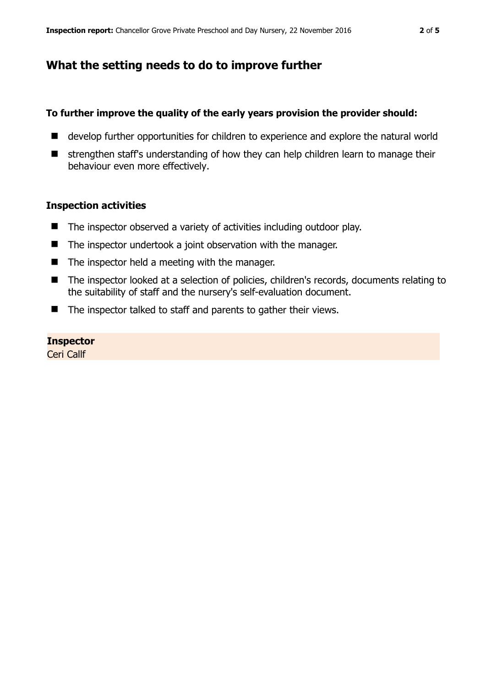# **What the setting needs to do to improve further**

### **To further improve the quality of the early years provision the provider should:**

- develop further opportunities for children to experience and explore the natural world
- strengthen staff's understanding of how they can help children learn to manage their behaviour even more effectively.

#### **Inspection activities**

- $\blacksquare$  The inspector observed a variety of activities including outdoor play.
- The inspector undertook a joint observation with the manager.
- $\blacksquare$  The inspector held a meeting with the manager.
- The inspector looked at a selection of policies, children's records, documents relating to the suitability of staff and the nursery's self-evaluation document.
- $\blacksquare$  The inspector talked to staff and parents to gather their views.

#### **Inspector**

Ceri Callf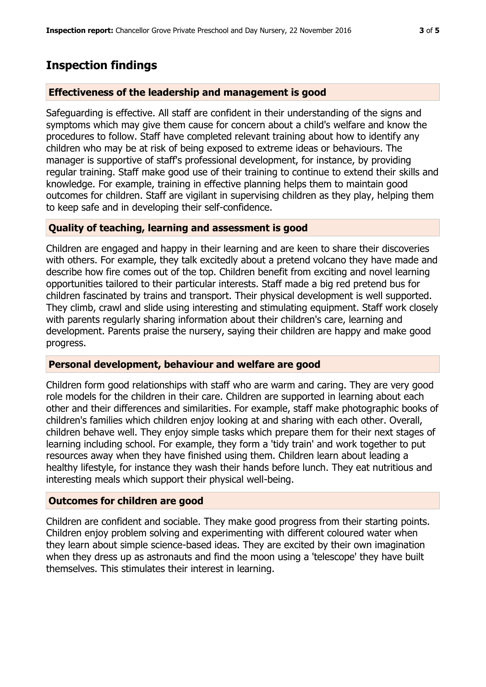# **Inspection findings**

## **Effectiveness of the leadership and management is good**

Safeguarding is effective. All staff are confident in their understanding of the signs and symptoms which may give them cause for concern about a child's welfare and know the procedures to follow. Staff have completed relevant training about how to identify any children who may be at risk of being exposed to extreme ideas or behaviours. The manager is supportive of staff's professional development, for instance, by providing regular training. Staff make good use of their training to continue to extend their skills and knowledge. For example, training in effective planning helps them to maintain good outcomes for children. Staff are vigilant in supervising children as they play, helping them to keep safe and in developing their self-confidence.

## **Quality of teaching, learning and assessment is good**

Children are engaged and happy in their learning and are keen to share their discoveries with others. For example, they talk excitedly about a pretend volcano they have made and describe how fire comes out of the top. Children benefit from exciting and novel learning opportunities tailored to their particular interests. Staff made a big red pretend bus for children fascinated by trains and transport. Their physical development is well supported. They climb, crawl and slide using interesting and stimulating equipment. Staff work closely with parents regularly sharing information about their children's care, learning and development. Parents praise the nursery, saying their children are happy and make good progress.

## **Personal development, behaviour and welfare are good**

Children form good relationships with staff who are warm and caring. They are very good role models for the children in their care. Children are supported in learning about each other and their differences and similarities. For example, staff make photographic books of children's families which children enjoy looking at and sharing with each other. Overall, children behave well. They enjoy simple tasks which prepare them for their next stages of learning including school. For example, they form a 'tidy train' and work together to put resources away when they have finished using them. Children learn about leading a healthy lifestyle, for instance they wash their hands before lunch. They eat nutritious and interesting meals which support their physical well-being.

## **Outcomes for children are good**

Children are confident and sociable. They make good progress from their starting points. Children enjoy problem solving and experimenting with different coloured water when they learn about simple science-based ideas. They are excited by their own imagination when they dress up as astronauts and find the moon using a 'telescope' they have built themselves. This stimulates their interest in learning.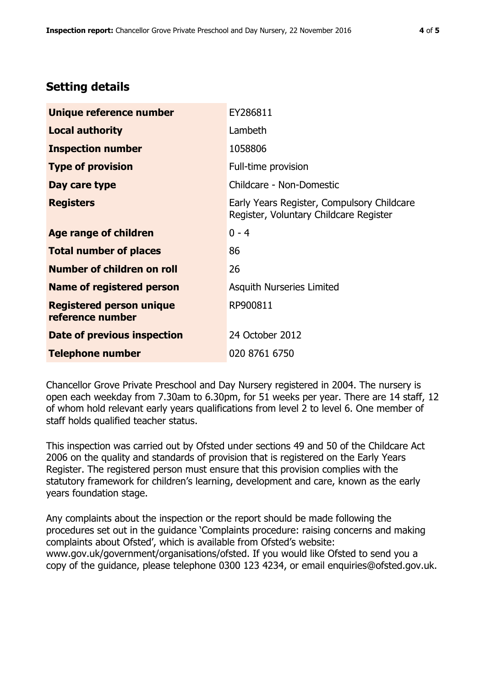# **Setting details**

| Unique reference number                             | EY286811                                                                             |  |
|-----------------------------------------------------|--------------------------------------------------------------------------------------|--|
| <b>Local authority</b>                              | Lambeth                                                                              |  |
| <b>Inspection number</b>                            | 1058806                                                                              |  |
| <b>Type of provision</b>                            | Full-time provision                                                                  |  |
| Day care type                                       | Childcare - Non-Domestic                                                             |  |
| <b>Registers</b>                                    | Early Years Register, Compulsory Childcare<br>Register, Voluntary Childcare Register |  |
| Age range of children                               | $0 - 4$                                                                              |  |
| <b>Total number of places</b>                       | 86                                                                                   |  |
| Number of children on roll                          | 26                                                                                   |  |
| Name of registered person                           | <b>Asquith Nurseries Limited</b>                                                     |  |
| <b>Registered person unique</b><br>reference number | RP900811                                                                             |  |
| <b>Date of previous inspection</b>                  | 24 October 2012                                                                      |  |
| <b>Telephone number</b>                             | 020 8761 6750                                                                        |  |

Chancellor Grove Private Preschool and Day Nursery registered in 2004. The nursery is open each weekday from 7.30am to 6.30pm, for 51 weeks per year. There are 14 staff, 12 of whom hold relevant early years qualifications from level 2 to level 6. One member of staff holds qualified teacher status.

This inspection was carried out by Ofsted under sections 49 and 50 of the Childcare Act 2006 on the quality and standards of provision that is registered on the Early Years Register. The registered person must ensure that this provision complies with the statutory framework for children's learning, development and care, known as the early years foundation stage.

Any complaints about the inspection or the report should be made following the procedures set out in the guidance 'Complaints procedure: raising concerns and making complaints about Ofsted', which is available from Ofsted's website: www.gov.uk/government/organisations/ofsted. If you would like Ofsted to send you a copy of the guidance, please telephone 0300 123 4234, or email enquiries@ofsted.gov.uk.